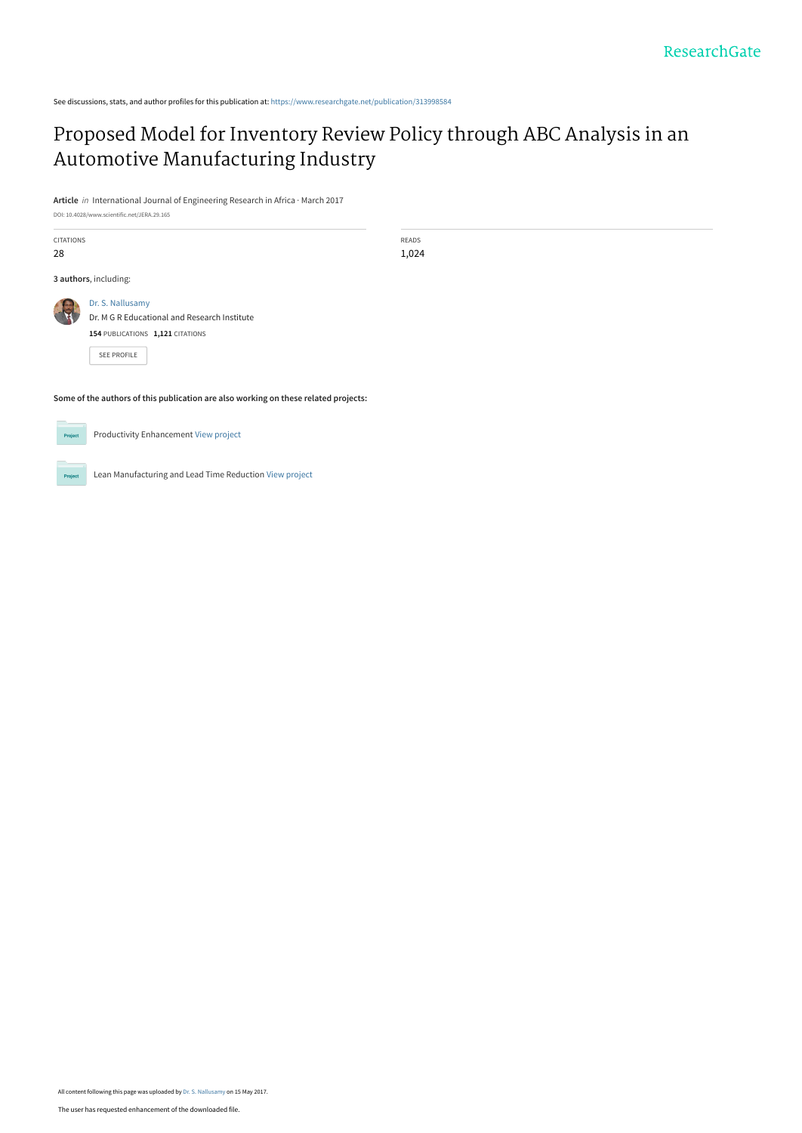See discussions, stats, and author profiles for this publication at: [https://www.researchgate.net/publication/313998584](https://www.researchgate.net/publication/313998584_Proposed_Model_for_Inventory_Review_Policy_through_ABC_Analysis_in_an_Automotive_Manufacturing_Industry?enrichId=rgreq-610ab2ef40aa44fd177c1c9c03617f89-XXX&enrichSource=Y292ZXJQYWdlOzMxMzk5ODU4NDtBUzo0OTQxNzc0NTQ0ODU1MDRAMTQ5NDgzMjQ5NDE2MQ%3D%3D&el=1_x_2&_esc=publicationCoverPdf)

# [Proposed Model for Inventory Review Policy through ABC Analysis in an](https://www.researchgate.net/publication/313998584_Proposed_Model_for_Inventory_Review_Policy_through_ABC_Analysis_in_an_Automotive_Manufacturing_Industry?enrichId=rgreq-610ab2ef40aa44fd177c1c9c03617f89-XXX&enrichSource=Y292ZXJQYWdlOzMxMzk5ODU4NDtBUzo0OTQxNzc0NTQ0ODU1MDRAMTQ5NDgzMjQ5NDE2MQ%3D%3D&el=1_x_3&_esc=publicationCoverPdf) Automotive Manufacturing Industry

**Article** in International Journal of Engineering Research in Africa · March 2017

DOI: 10.4028/www.scientific.net/JERA.29.165

| <b>CITATIONS</b><br>28                                                              |                                                                                                                            | <b>READS</b><br>1,024 |  |
|-------------------------------------------------------------------------------------|----------------------------------------------------------------------------------------------------------------------------|-----------------------|--|
| 3 authors, including:                                                               |                                                                                                                            |                       |  |
|                                                                                     | Dr. S. Nallusamy<br>Dr. M G R Educational and Research Institute<br>154 PUBLICATIONS 1,121 CITATIONS<br><b>SEE PROFILE</b> |                       |  |
| Some of the authors of this publication are also working on these related projects: |                                                                                                                            |                       |  |



Productivity Enhancement [View project](https://www.researchgate.net/project/Productivity-Enhancement?enrichId=rgreq-610ab2ef40aa44fd177c1c9c03617f89-XXX&enrichSource=Y292ZXJQYWdlOzMxMzk5ODU4NDtBUzo0OTQxNzc0NTQ0ODU1MDRAMTQ5NDgzMjQ5NDE2MQ%3D%3D&el=1_x_9&_esc=publicationCoverPdf)

Lean Manufacturing and Lead Time Reduction [View project](https://www.researchgate.net/project/Lean-Manufacturing-and-Lead-Time-Reduction?enrichId=rgreq-610ab2ef40aa44fd177c1c9c03617f89-XXX&enrichSource=Y292ZXJQYWdlOzMxMzk5ODU4NDtBUzo0OTQxNzc0NTQ0ODU1MDRAMTQ5NDgzMjQ5NDE2MQ%3D%3D&el=1_x_9&_esc=publicationCoverPdf) **Project** 

All content following this page was uploaded by [Dr. S. Nallusamy](https://www.researchgate.net/profile/Dr_Nallusamy?enrichId=rgreq-610ab2ef40aa44fd177c1c9c03617f89-XXX&enrichSource=Y292ZXJQYWdlOzMxMzk5ODU4NDtBUzo0OTQxNzc0NTQ0ODU1MDRAMTQ5NDgzMjQ5NDE2MQ%3D%3D&el=1_x_10&_esc=publicationCoverPdf) on 15 May 2017.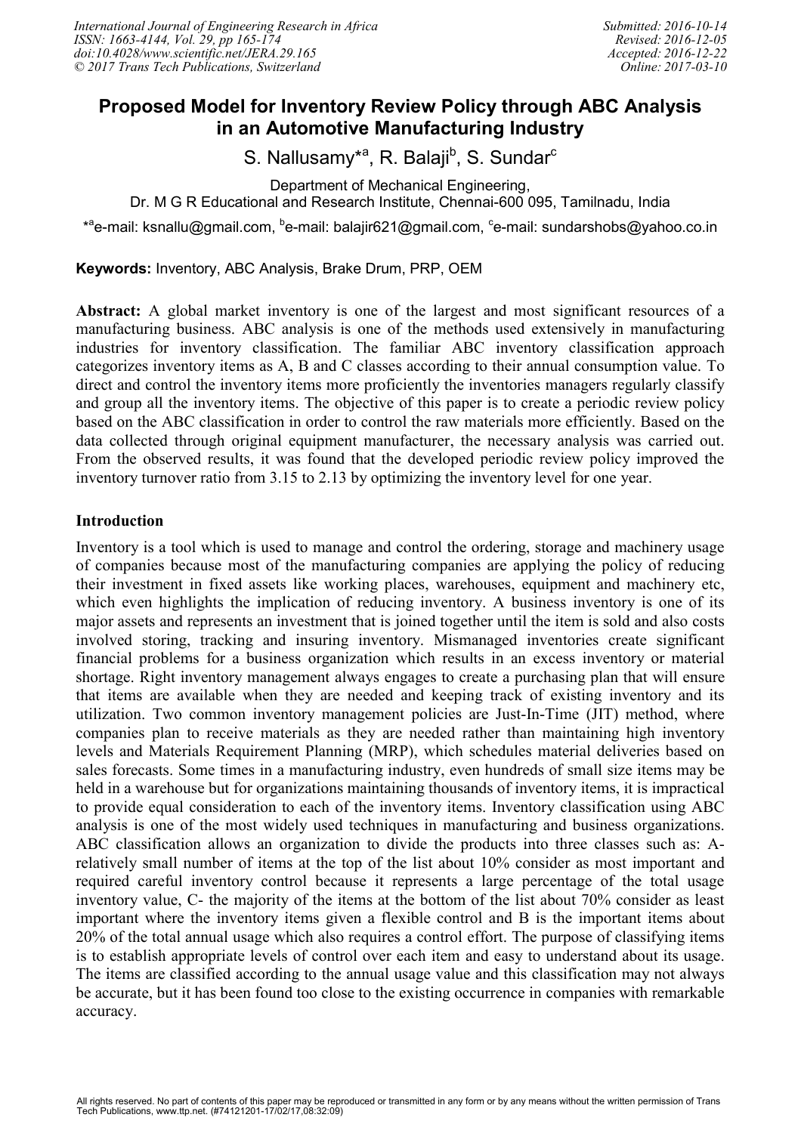# **Proposed Model for Inventory Review Policy through ABC Analysis in an Automotive Manufacturing Industry**

S. Nallusamy<sup>\*a</sup>, R. Balaji<sup>b</sup>, S. Sundar<sup>c</sup>

Department of Mechanical Engineering,

Dr. M G R Educational and Research Institute, Chennai-600 095, Tamilnadu, India

\*<sup>a</sup>e-mail: ksnallu@gmail.com, <sup>b</sup>e-mail: balajir621@gmail.com, <sup>c</sup>e-mail: sundarshobs@yahoo.co.in

**Keywords:** Inventory, ABC Analysis, Brake Drum, PRP, OEM

**Abstract:** A global market inventory is one of the largest and most significant resources of a manufacturing business. ABC analysis is one of the methods used extensively in manufacturing industries for inventory classification. The familiar ABC inventory classification approach categorizes inventory items as A, B and C classes according to their annual consumption value. To direct and control the inventory items more proficiently the inventories managers regularly classify and group all the inventory items. The objective of this paper is to create a periodic review policy based on the ABC classification in order to control the raw materials more efficiently. Based on the data collected through original equipment manufacturer, the necessary analysis was carried out. From the observed results, it was found that the developed periodic review policy improved the inventory turnover ratio from 3.15 to 2.13 by optimizing the inventory level for one year.

### **Introduction**

Inventory is a tool which is used to manage and control the ordering, storage and machinery usage of companies because most of the manufacturing companies are applying the policy of reducing their investment in fixed assets like working places, warehouses, equipment and machinery etc, which even highlights the implication of reducing inventory. A business inventory is one of its major assets and represents an investment that is joined together until the item is sold and also costs involved storing, tracking and insuring inventory. Mismanaged inventories create significant financial problems for a business organization which results in an excess inventory or material shortage. Right inventory management always engages to create a purchasing plan that will ensure that items are available when they are needed and keeping track of existing inventory and its utilization. Two common inventory management policies are Just-In-Time (JIT) method, where companies plan to receive materials as they are needed rather than maintaining high inventory levels and Materials Requirement Planning (MRP), which schedules material deliveries based on sales forecasts. Some times in a manufacturing industry, even hundreds of small size items may be held in a warehouse but for organizations maintaining thousands of inventory items, it is impractical to provide equal consideration to each of the inventory items. Inventory classification using ABC analysis is one of the most widely used techniques in manufacturing and business organizations. ABC classification allows an organization to divide the products into three classes such as: Arelatively small number of items at the top of the list about 10% consider as most important and required careful inventory control because it represents a large percentage of the total usage inventory value, C- the majority of the items at the bottom of the list about 70% consider as least important where the inventory items given a flexible control and B is the important items about 20% of the total annual usage which also requires a control effort. The purpose of classifying items is to establish appropriate levels of control over each item and easy to understand about its usage. The items are classified according to the annual usage value and this classification may not always be accurate, but it has been found too close to the existing occurrence in companies with remarkable accuracy.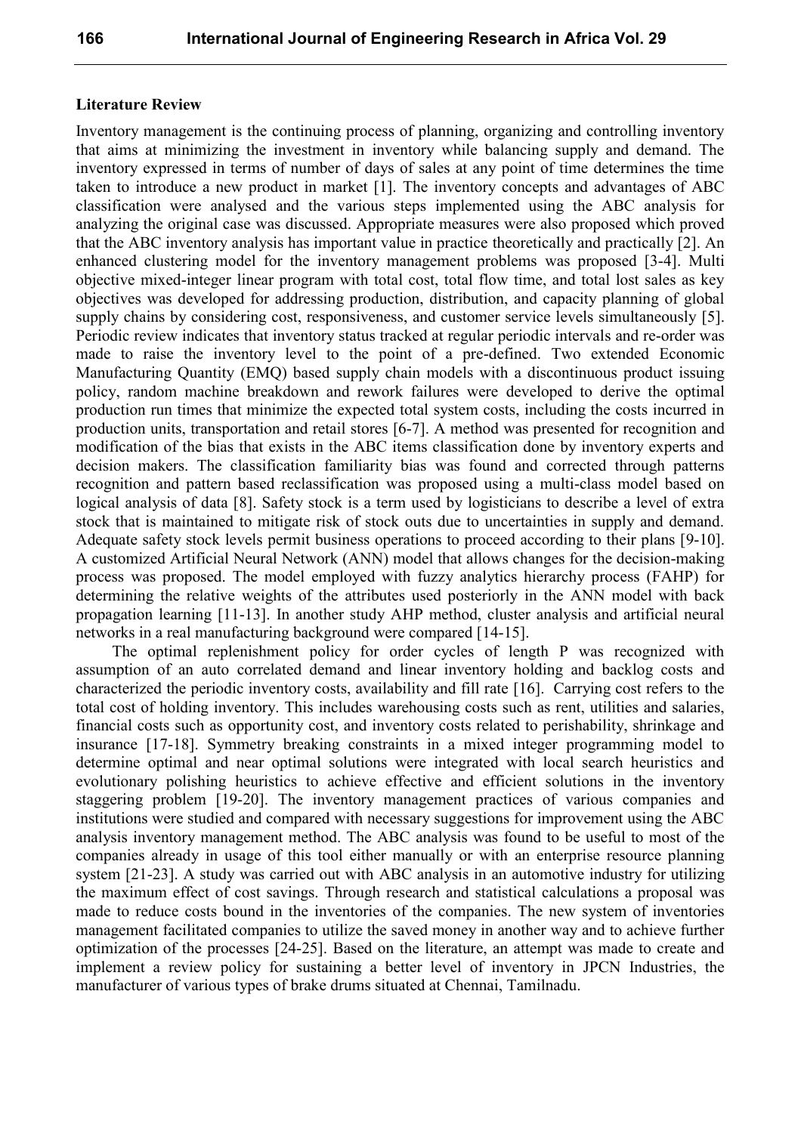#### **Literature Review**

Inventory management is the continuing process of planning, organizing and controlling inventory that aims at minimizing the investment in inventory while balancing supply and demand. The inventory expressed in terms of number of days of sales at any point of time determines the time taken to introduce a new product in market [1]. The inventory concepts and advantages of ABC classification were analysed and the various steps implemented using the ABC analysis for analyzing the original case was discussed. Appropriate measures were also proposed which proved that the ABC inventory analysis has important value in practice theoretically and practically [2]. An enhanced clustering model for the inventory management problems was proposed [3-4]. Multi objective mixed-integer linear program with total cost, total flow time, and total lost sales as key objectives was developed for addressing production, distribution, and capacity planning of global supply chains by considering cost, responsiveness, and customer service levels simultaneously [5]. Periodic review indicates that inventory status tracked at regular periodic intervals and re-order was made to raise the inventory level to the point of a pre-defined. Two extended Economic Manufacturing Quantity (EMQ) based supply chain models with a discontinuous product issuing policy, random machine breakdown and rework failures were developed to derive the optimal production run times that minimize the expected total system costs, including the costs incurred in production units, transportation and retail stores [6-7]. A method was presented for recognition and modification of the bias that exists in the ABC items classification done by inventory experts and decision makers. The classification familiarity bias was found and corrected through patterns recognition and pattern based reclassification was proposed using a multi-class model based on logical analysis of data [8]. Safety stock is a term used by logisticians to describe a level of extra stock that is maintained to mitigate risk of stock outs due to uncertainties in supply and demand. Adequate safety stock levels permit business operations to proceed according to their plans [9-10]. A customized Artificial Neural Network (ANN) model that allows changes for the decision-making process was proposed. The model employed with fuzzy analytics hierarchy process (FAHP) for determining the relative weights of the attributes used posteriorly in the ANN model with back propagation learning [11-13]. In another study AHP method, cluster analysis and artificial neural networks in a real manufacturing background were compared [14-15].

The optimal replenishment policy for order cycles of length P was recognized with assumption of an auto correlated demand and linear inventory holding and backlog costs and characterized the periodic inventory costs, availability and fill rate [16]. Carrying cost refers to the total cost of holding inventory. This includes warehousing costs such as rent, utilities and salaries, financial costs such as opportunity cost, and inventory costs related to perishability, shrinkage and insurance [17-18]. Symmetry breaking constraints in a mixed integer programming model to determine optimal and near optimal solutions were integrated with local search heuristics and evolutionary polishing heuristics to achieve effective and efficient solutions in the inventory staggering problem [19-20]. The inventory management practices of various companies and institutions were studied and compared with necessary suggestions for improvement using the ABC analysis inventory management method. The ABC analysis was found to be useful to most of the companies already in usage of this tool either manually or with an enterprise resource planning system [21-23]. A study was carried out with ABC analysis in an automotive industry for utilizing the maximum effect of cost savings. Through research and statistical calculations a proposal was made to reduce costs bound in the inventories of the companies. The new system of inventories management facilitated companies to utilize the saved money in another way and to achieve further optimization of the processes [24-25]. Based on the literature, an attempt was made to create and implement a review policy for sustaining a better level of inventory in JPCN Industries, the manufacturer of various types of brake drums situated at Chennai, Tamilnadu.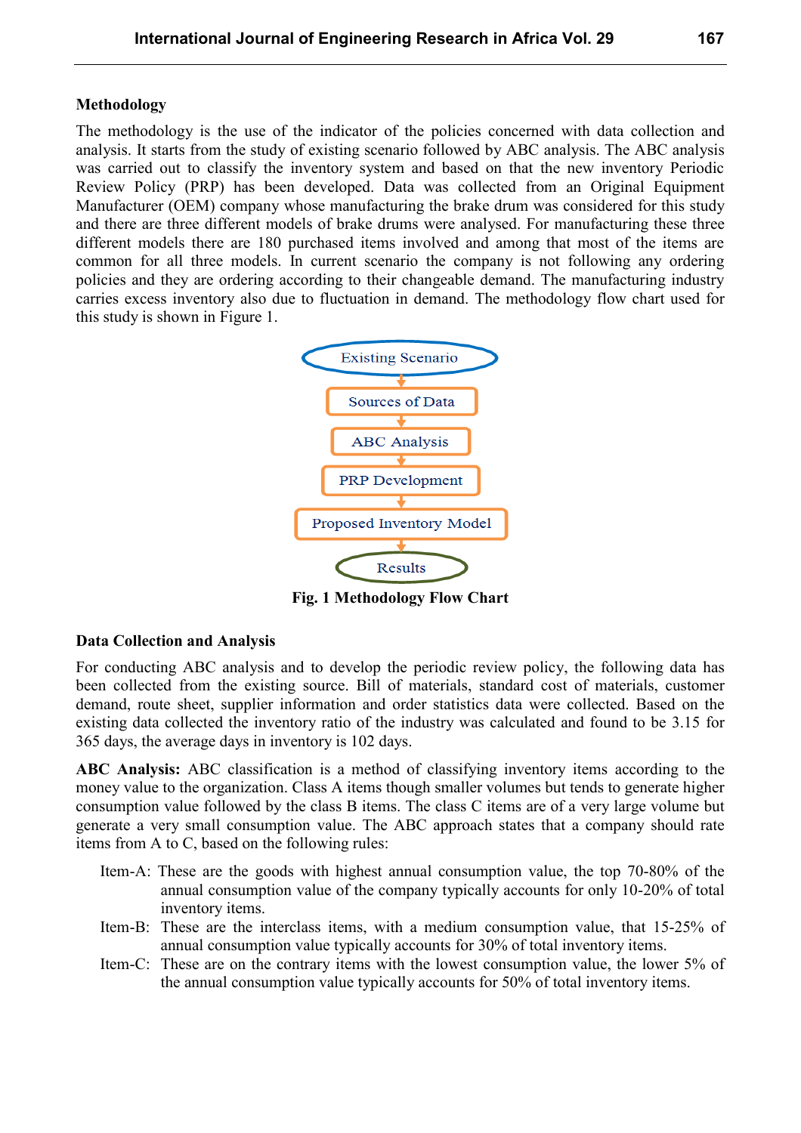#### **Methodology**

The methodology is the use of the indicator of the policies concerned with data collection and analysis. It starts from the study of existing scenario followed by ABC analysis. The ABC analysis was carried out to classify the inventory system and based on that the new inventory Periodic Review Policy (PRP) has been developed. Data was collected from an Original Equipment Manufacturer (OEM) company whose manufacturing the brake drum was considered for this study and there are three different models of brake drums were analysed. For manufacturing these three different models there are 180 purchased items involved and among that most of the items are common for all three models. In current scenario the company is not following any ordering policies and they are ordering according to their changeable demand. The manufacturing industry carries excess inventory also due to fluctuation in demand. The methodology flow chart used for this study is shown in Figure 1.



**Fig. 1 Methodology Flow Chart**

#### **Data Collection and Analysis**

For conducting ABC analysis and to develop the periodic review policy, the following data has been collected from the existing source. Bill of materials, standard cost of materials, customer demand, route sheet, supplier information and order statistics data were collected. Based on the existing data collected the inventory ratio of the industry was calculated and found to be 3.15 for 365 days, the average days in inventory is 102 days.

**ABC Analysis:** ABC classification is a method of classifying inventory items according to the money value to the organization. Class A items though smaller volumes but tends to generate higher consumption value followed by the class B items. The class C items are of a very large volume but generate a very small consumption value. The ABC approach states that a company should rate items from A to C, based on the following rules:

- Item-A: These are the goods with highest annual consumption value, the top 70-80% of the annual consumption value of the company typically accounts for only 10-20% of total inventory items.
- Item-B: These are the interclass items, with a medium consumption value, that 15-25% of annual consumption value typically accounts for 30% of total inventory items.
- Item-C: These are on the contrary items with the lowest consumption value, the lower 5% of the annual consumption value typically accounts for 50% of total inventory items.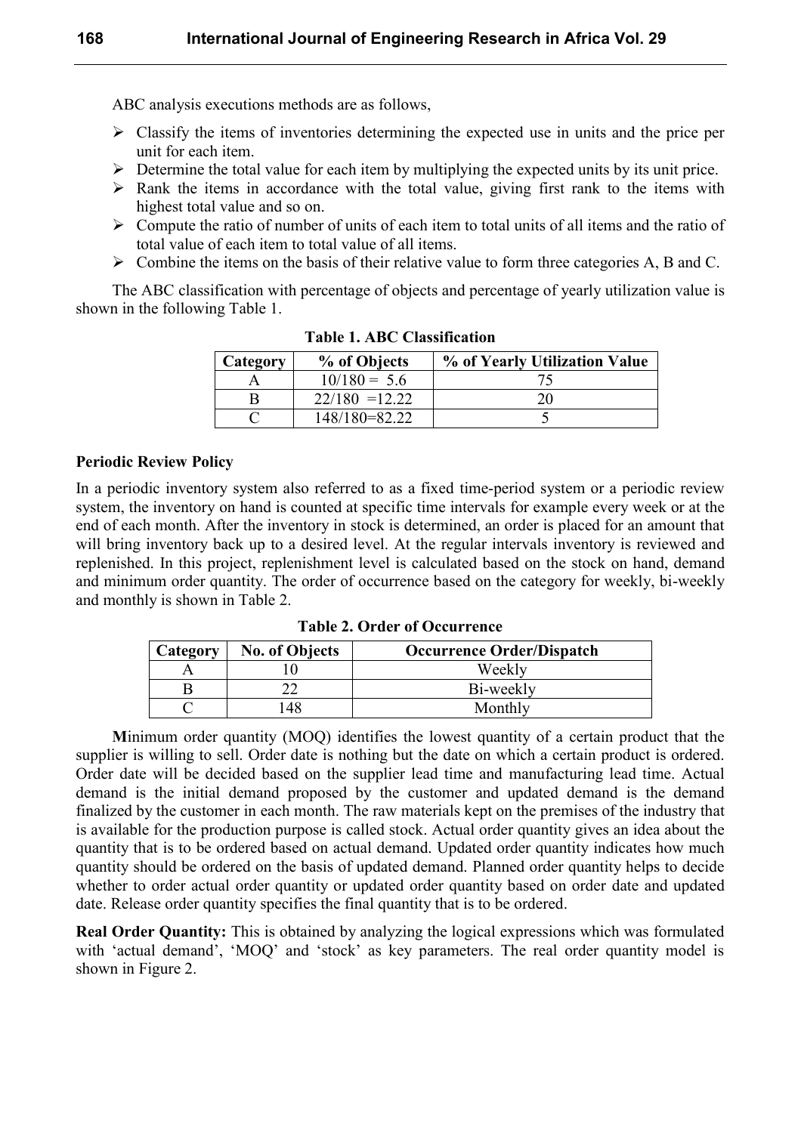ABC analysis executions methods are as follows,

- $\triangleright$  Classify the items of inventories determining the expected use in units and the price per unit for each item.
- $\triangleright$  Determine the total value for each item by multiplying the expected units by its unit price.
- $\triangleright$  Rank the items in accordance with the total value, giving first rank to the items with highest total value and so on.
- $\triangleright$  Compute the ratio of number of units of each item to total units of all items and the ratio of total value of each item to total value of all items.
- $\triangleright$  Combine the items on the basis of their relative value to form three categories A, B and C.

The ABC classification with percentage of objects and percentage of yearly utilization value is shown in the following Table 1.

| Category | % of Objects     | % of Yearly Utilization Value |
|----------|------------------|-------------------------------|
|          | $10/180 = 5.6$   |                               |
|          | $22/180 = 12.22$ | 20                            |
|          | 148/180=82.22    |                               |

**Table 1. ABC Classification**

#### **Periodic Review Policy**

In a periodic inventory system also referred to as a fixed time-period system or a periodic review system, the inventory on hand is counted at specific time intervals for example every week or at the end of each month. After the inventory in stock is determined, an order is placed for an amount that will bring inventory back up to a desired level. At the regular intervals inventory is reviewed and replenished. In this project, replenishment level is calculated based on the stock on hand, demand and minimum order quantity. The order of occurrence based on the category for weekly, bi-weekly and monthly is shown in Table 2.

**Table 2. Order of Occurrence**

| Category | <b>No. of Objects</b> | <b>Occurrence Order/Dispatch</b> |
|----------|-----------------------|----------------------------------|
|          |                       | Weekly                           |
|          |                       | Bi-weekly                        |
|          | 48                    | Monthly                          |

**M**inimum order quantity (MOQ) identifies the lowest quantity of a certain product that the supplier is willing to sell. Order date is nothing but the date on which a certain product is ordered. Order date will be decided based on the supplier lead time and manufacturing lead time. Actual demand is the initial demand proposed by the customer and updated demand is the demand finalized by the customer in each month. The raw materials kept on the premises of the industry that is available for the production purpose is called stock. Actual order quantity gives an idea about the quantity that is to be ordered based on actual demand. Updated order quantity indicates how much quantity should be ordered on the basis of updated demand. Planned order quantity helps to decide whether to order actual order quantity or updated order quantity based on order date and updated date. Release order quantity specifies the final quantity that is to be ordered.

**Real Order Quantity:** This is obtained by analyzing the logical expressions which was formulated with 'actual demand', 'MOQ' and 'stock' as key parameters. The real order quantity model is shown in Figure 2.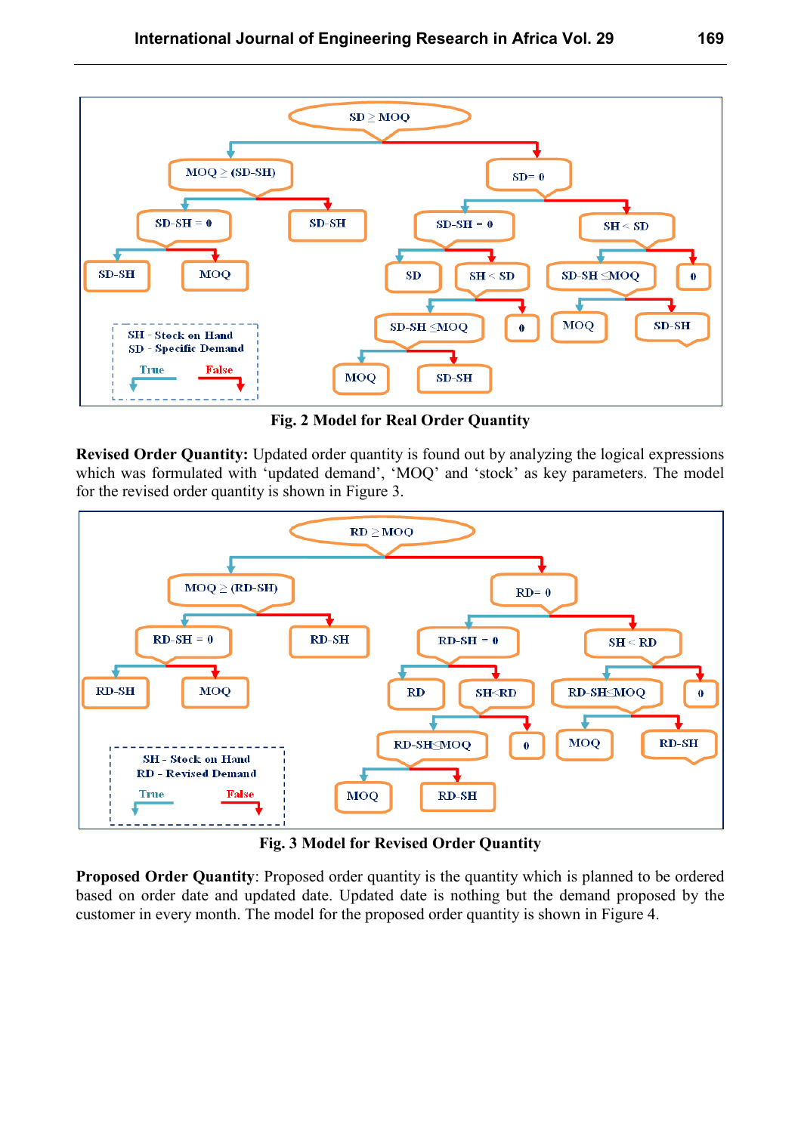

**Fig. 2 Model for Real Order Quantity** 

**Revised Order Quantity:** Updated order quantity is found out by analyzing the logical expressions which was formulated with 'updated demand', 'MOQ' and 'stock' as key parameters. The model for the revised order quantity is shown in Figure 3.



**Fig. 3 Model for Revised Order Quantity**

**Proposed Order Quantity**: Proposed order quantity is the quantity which is planned to be ordered based on order date and updated date. Updated date is nothing but the demand proposed by the customer in every month. The model for the proposed order quantity is shown in Figure 4.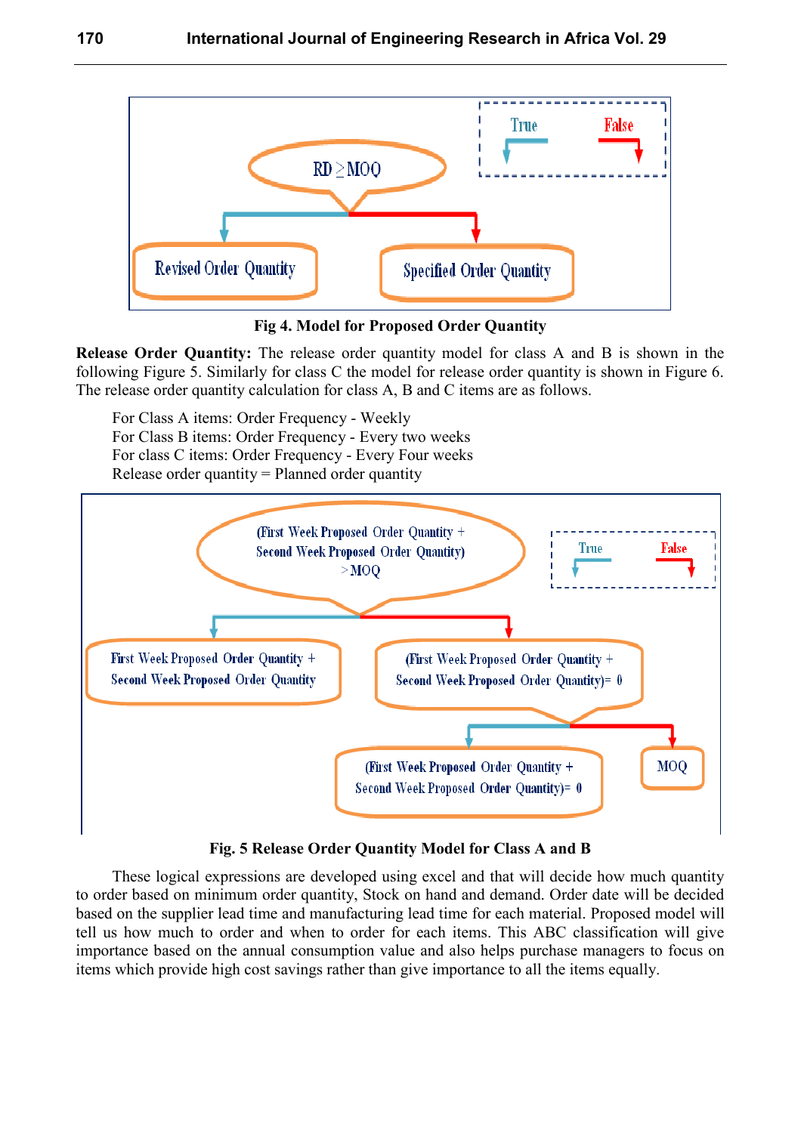

**Fig 4. Model for Proposed Order Quantity** 

**Release Order Quantity:** The release order quantity model for class A and B is shown in the following Figure 5. Similarly for class C the model for release order quantity is shown in Figure 6. The release order quantity calculation for class A, B and C items are as follows.

For Class A items: Order Frequency - Weekly For Class B items: Order Frequency - Every two weeks For class C items: Order Frequency - Every Four weeks Release order quantity = Planned order quantity



**Fig. 5 Release Order Quantity Model for Class A and B**

These logical expressions are developed using excel and that will decide how much quantity to order based on minimum order quantity, Stock on hand and demand. Order date will be decided based on the supplier lead time and manufacturing lead time for each material. Proposed model will tell us how much to order and when to order for each items. This ABC classification will give importance based on the annual consumption value and also helps purchase managers to focus on items which provide high cost savings rather than give importance to all the items equally.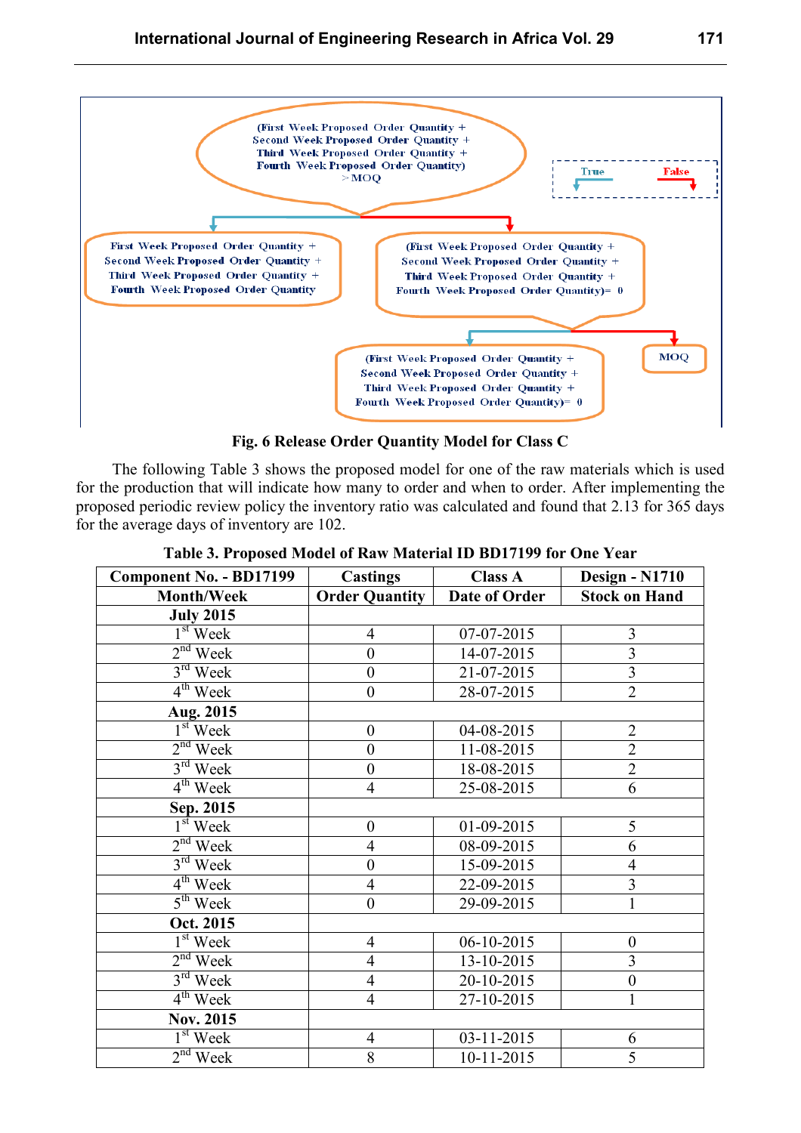

**Fig. 6 Release Order Quantity Model for Class C**

The following Table 3 shows the proposed model for one of the raw materials which is used for the production that will indicate how many to order and when to order. After implementing the proposed periodic review policy the inventory ratio was calculated and found that 2.13 for 365 days for the average days of inventory are 102.

| <b>Component No. - BD17199</b> | <b>Castings</b>       | <b>Class A</b>   | <b>Design - N1710</b>   |
|--------------------------------|-----------------------|------------------|-------------------------|
| <b>Month/Week</b>              | <b>Order Quantity</b> | Date of Order    | <b>Stock on Hand</b>    |
| <b>July 2015</b>               |                       |                  |                         |
| $1st$ Week                     | $\overline{4}$        | 07-07-2015       | 3                       |
| $2nd$ Week                     | $\overline{0}$        | 14-07-2015       | $\overline{\mathbf{3}}$ |
| $3rd$ Week                     | $\boldsymbol{0}$      | 21-07-2015       | $\overline{3}$          |
| $4th$ Week                     | $\boldsymbol{0}$      | 28-07-2015       | $\overline{2}$          |
| Aug. 2015                      |                       |                  |                         |
| $1st$ Week                     | $\boldsymbol{0}$      | 04-08-2015       | $\overline{2}$          |
| $2nd$ Week                     | $\boldsymbol{0}$      | 11-08-2015       | $\overline{2}$          |
| $3rd$ Week                     | $\boldsymbol{0}$      | 18-08-2015       | $\overline{2}$          |
| $4th$ Week                     | $\overline{4}$        | 25-08-2015       | 6                       |
| Sep. 2015                      |                       |                  |                         |
| $1st$ Week                     | $\boldsymbol{0}$      | 01-09-2015       | 5                       |
| $2nd$ Week                     | $\overline{4}$        | 08-09-2015       | $\overline{6}$          |
| $3rd$ Week                     | $\boldsymbol{0}$      | 15-09-2015       | $\overline{4}$          |
| $4th$ Week                     | $\overline{4}$        | 22-09-2015       | $\overline{3}$          |
| $5th$ Week                     | $\boldsymbol{0}$      | 29-09-2015       | $\mathbf{1}$            |
| Oct. 2015                      |                       |                  |                         |
| $1st$ Week                     | $\overline{4}$        | $06 - 10 - 2015$ | $\boldsymbol{0}$        |
| $2nd$ Week                     | $\overline{4}$        | 13-10-2015       | $\overline{\mathbf{3}}$ |
| $3rd$ Week                     | $\overline{4}$        | 20-10-2015       | $\overline{0}$          |
| $4th$ Week                     | $\overline{4}$        | 27-10-2015       | $\mathbf{1}$            |
| Nov. 2015                      |                       |                  |                         |
| $1st$ Week                     | $\overline{4}$        | 03-11-2015       | 6                       |
| $2nd$ Week                     | $\overline{8}$        | 10-11-2015       | $\overline{5}$          |

**Table 3. Proposed Model of Raw Material ID BD17199 for One Year**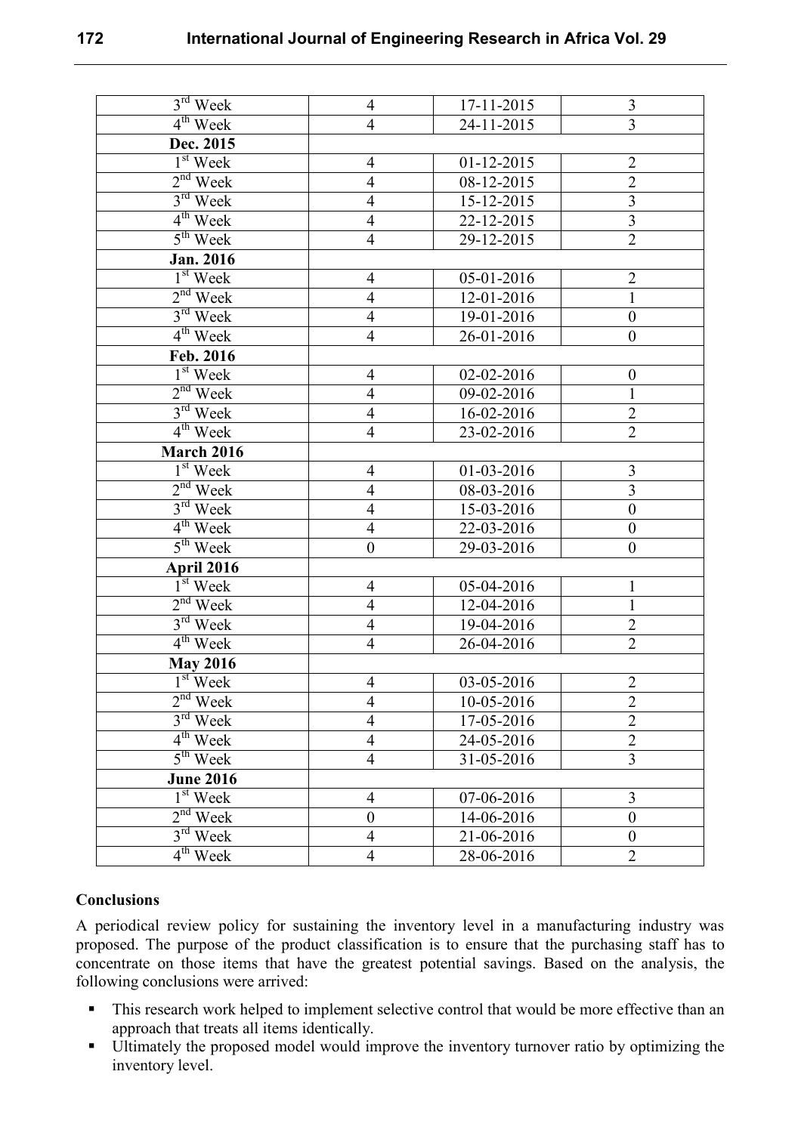| $3rd$ Week           | $\overline{4}$   | 17-11-2015       | $\overline{3}$          |
|----------------------|------------------|------------------|-------------------------|
| $4^{th}$ Week        | $\overline{4}$   | 24-11-2015       | $\overline{3}$          |
| Dec. 2015            |                  |                  |                         |
| $1st$ Week           | $\overline{4}$   | $01 - 12 - 2015$ | $\sqrt{2}$              |
| $2nd$ Week           | $\overline{4}$   | 08-12-2015       | $\overline{2}$          |
| $3rd$ Week           | $\overline{4}$   | 15-12-2015       | $\overline{\mathbf{3}}$ |
| $4th$ Week           | $\overline{4}$   | 22-12-2015       | $\overline{3}$          |
| $5th$ Week           | $\overline{4}$   | 29-12-2015       | $\overline{2}$          |
| <b>Jan. 2016</b>     |                  |                  |                         |
| $1st$ Week           | $\overline{4}$   | 05-01-2016       | $\overline{2}$          |
| $2nd$ Week           | $\overline{4}$   | 12-01-2016       | $\mathbf{1}$            |
| $3rd$ Week           | $\overline{4}$   | 19-01-2016       | $\boldsymbol{0}$        |
| 4 <sup>th</sup> Week | $\overline{4}$   | 26-01-2016       | $\boldsymbol{0}$        |
| Feb. 2016            |                  |                  |                         |
| $1st$ Week           | $\overline{4}$   | 02-02-2016       | $\boldsymbol{0}$        |
| $2nd$ Week           | $\overline{4}$   | 09-02-2016       | $\mathbf{1}$            |
| $3rd$ Week           | $\overline{4}$   | 16-02-2016       | $\overline{2}$          |
| $4^{\text{th}}$ Week | $\overline{4}$   | 23-02-2016       | $\overline{2}$          |
| March 2016           |                  |                  |                         |
| $1st$ Week           | $\overline{4}$   | 01-03-2016       | $\overline{3}$          |
| $2nd$ Week           | $\overline{4}$   | 08-03-2016       | $\overline{3}$          |
| $3rd$ Week           | $\overline{4}$   | 15-03-2016       | $\boldsymbol{0}$        |
| $4th$ Week           | $\overline{4}$   | 22-03-2016       | $\boldsymbol{0}$        |
| $5th$ Week           | $\boldsymbol{0}$ | 29-03-2016       | $\boldsymbol{0}$        |
| <b>April 2016</b>    |                  |                  |                         |
| $1st$ Week           | $\overline{4}$   | 05-04-2016       | $\mathbf{1}$            |
| $2nd$ Week           | $\overline{4}$   | 12-04-2016       | $\mathbf{1}$            |
| $3rd$ Week           | $\overline{4}$   | 19-04-2016       | $\overline{2}$          |
| $4th$ Week           | $\overline{4}$   | 26-04-2016       | $\overline{2}$          |
| <b>May 2016</b>      |                  |                  |                         |
| $1st$ Week           | $\overline{4}$   | 03-05-2016       | $\overline{2}$          |
| $2nd$ Week           | $\overline{4}$   | 10-05-2016       | 2                       |
| $3rd$ Week           | $\overline{4}$   | 17-05-2016       | $\overline{2}$          |
| $4th$ Week           | $\overline{4}$   | 24-05-2016       | $\overline{2}$          |
| $5th$ Week           | $\overline{4}$   | 31-05-2016       | 3                       |
| <b>June 2016</b>     |                  |                  |                         |
| $1st$ Week           | $\overline{4}$   | 07-06-2016       | 3                       |
| $2nd$ Week           | $\boldsymbol{0}$ | 14-06-2016       | $\mathbf{0}$            |
| $3rd$ Week           | $\overline{4}$   | 21-06-2016       | $\boldsymbol{0}$        |
| $4th$ Week           | $\overline{4}$   | 28-06-2016       | $\overline{2}$          |

## **Conclusions**

A periodical review policy for sustaining the inventory level in a manufacturing industry was proposed. The purpose of the product classification is to ensure that the purchasing staff has to concentrate on those items that have the greatest potential savings. Based on the analysis, the following conclusions were arrived:

- This research work helped to implement selective control that would be more effective than an approach that treats all items identically.
- Ultimately the proposed model would improve the inventory turnover ratio by optimizing the inventory level.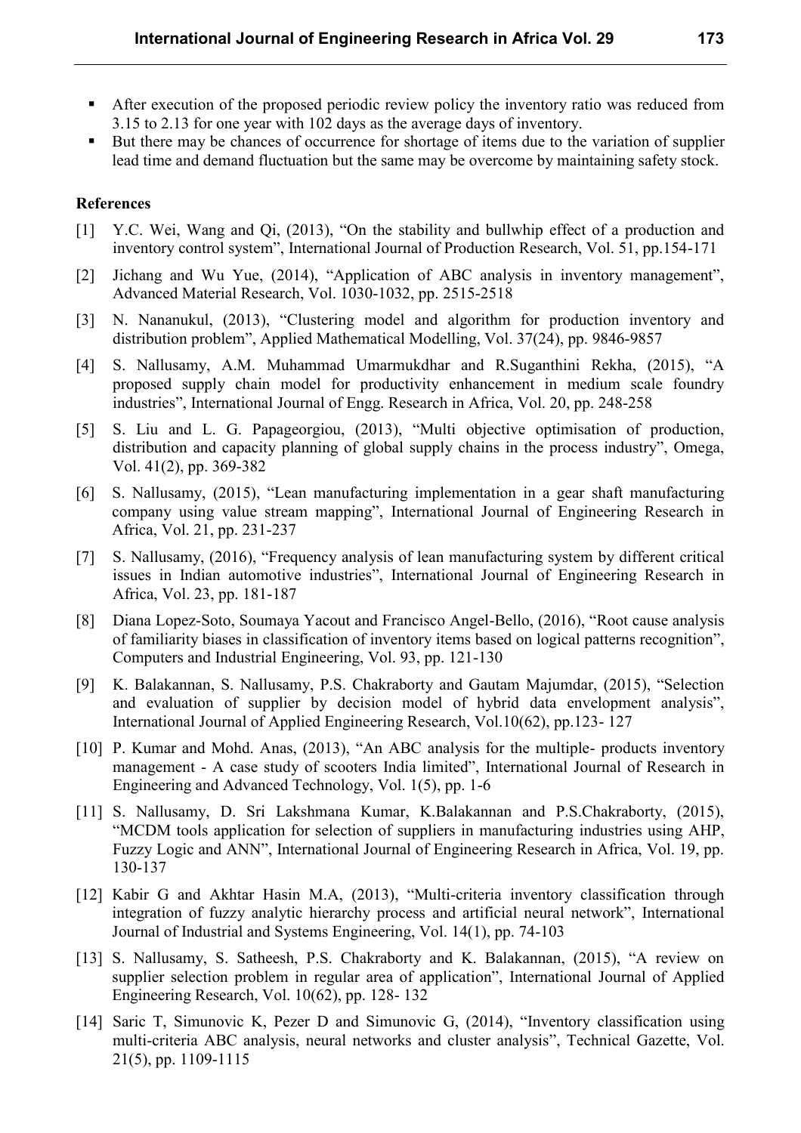- After execution of the proposed periodic review policy the inventory ratio was reduced from 3.15 to 2.13 for one year with 102 days as the average days of inventory.
- But there may be chances of occurrence for shortage of items due to the variation of supplier lead time and demand fluctuation but the same may be overcome by maintaining safety stock.

#### **References**

- [1] Y.C. Wei, Wang and Qi, (2013), "On the stability and bullwhip effect of a production and inventory control system", International Journal of Production Research, Vol. 51, pp.154-171
- [2] Jichang and Wu Yue, (2014), "Application of ABC analysis in inventory management", Advanced Material Research, Vol. 1030-1032, pp. 2515-2518
- [3] N. Nananukul, (2013), "Clustering model and algorithm for production inventory and distribution problem", Applied Mathematical Modelling, Vol. 37(24), pp. 9846-9857
- [4] S. Nallusamy, A.M. Muhammad Umarmukdhar and R.Suganthini Rekha, (2015), "A proposed supply chain model for productivity enhancement in medium scale foundry industries", International Journal of Engg. Research in Africa, Vol. 20, pp. 248-258
- [5] S. Liu and L. G. Papageorgiou, (2013), "Multi objective optimisation of production, distribution and capacity planning of global supply chains in the process industry", Omega, Vol. 41(2), pp. 369-382
- [6] S. Nallusamy, (2015), "Lean manufacturing implementation in a gear shaft manufacturing company using value stream mapping", International Journal of Engineering Research in Africa, Vol. 21, pp. 231-237
- [7] S. Nallusamy, (2016), "Frequency analysis of lean manufacturing system by different critical issues in Indian automotive industries", International Journal of Engineering Research in Africa, Vol. 23, pp. 181-187
- [8] Diana Lopez-Soto, Soumaya Yacout and Francisco Angel-Bello, (2016), "Root cause analysis of familiarity biases in classification of inventory items based on logical patterns recognition", Computers and Industrial Engineering, Vol. 93, pp. 121-130
- [9] K. Balakannan, S. Nallusamy, P.S. Chakraborty and Gautam Majumdar, (2015), "Selection and evaluation of supplier by decision model of hybrid data envelopment analysis", International Journal of Applied Engineering Research, Vol.10(62), pp.123- 127
- [10] P. Kumar and Mohd. Anas, (2013), "An ABC analysis for the multiple- products inventory management - A case study of scooters India limited", International Journal of Research in Engineering and Advanced Technology, Vol. 1(5), pp. 1-6
- [11] S. Nallusamy, D. Sri Lakshmana Kumar, K.Balakannan and P.S.Chakraborty, (2015), "MCDM tools application for selection of suppliers in manufacturing industries using AHP, Fuzzy Logic and ANN", International Journal of Engineering Research in Africa, Vol. 19, pp. 130-137
- [12] Kabir G and Akhtar Hasin M.A, (2013), "Multi-criteria inventory classification through integration of fuzzy analytic hierarchy process and artificial neural network", International Journal of Industrial and Systems Engineering, Vol. 14(1), pp. 74-103
- [13] S. Nallusamy, S. Satheesh, P.S. Chakraborty and K. Balakannan, (2015), "A review on supplier selection problem in regular area of application", International Journal of Applied Engineering Research, Vol. 10(62), pp. 128- 132
- [14] Saric T, Simunovic K, Pezer D and Simunovic G, (2014), "Inventory classification using multi-criteria ABC analysis, neural networks and cluster analysis", Technical Gazette, Vol. 21(5), pp. 1109-1115